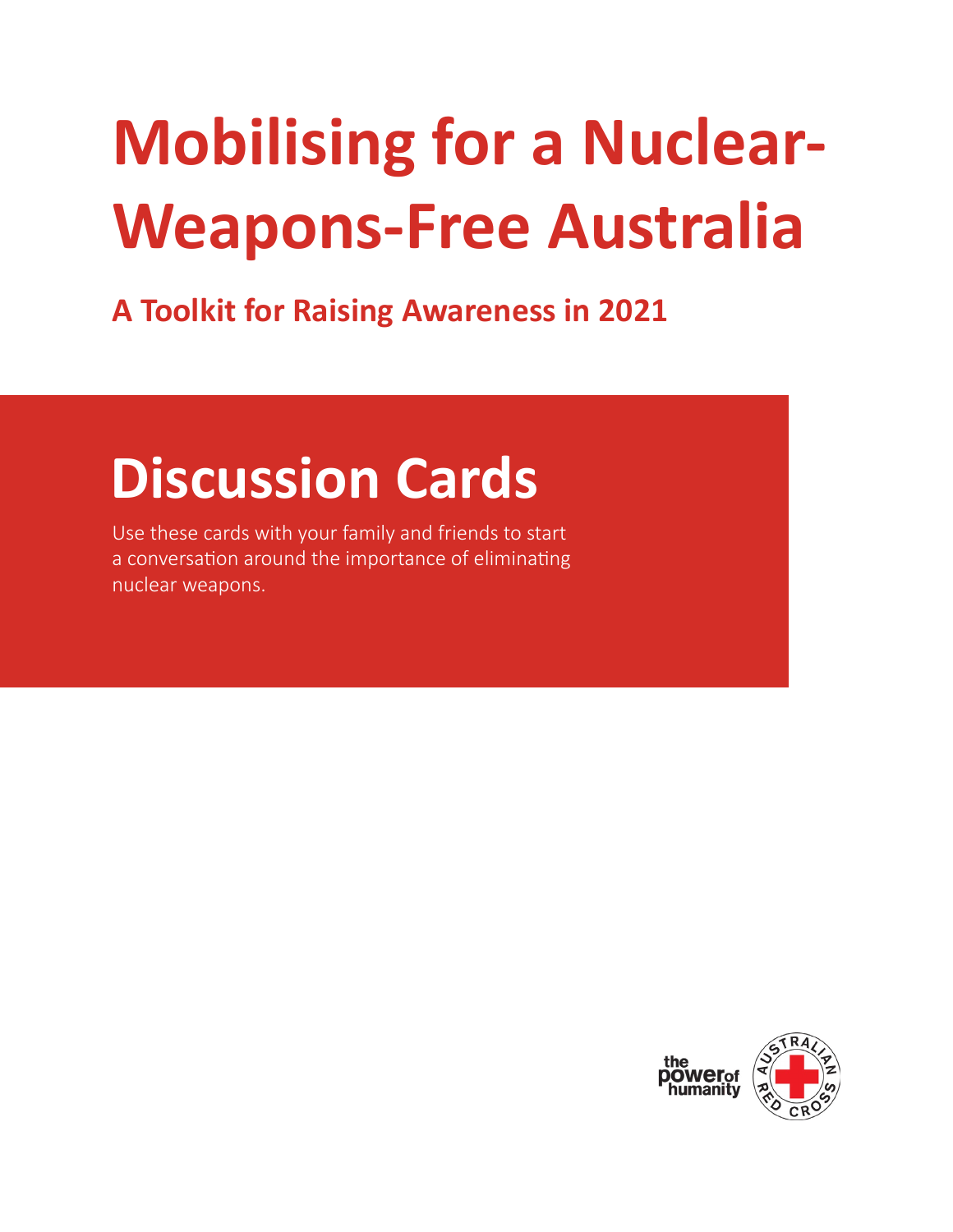## **Mobilising for a Nuclear-Weapons-Free Australia**

**A Toolkit for Raising Awareness in 2021**

## **Discussion Cards**

Use these cards with your family and friends to start a conversation around the importance of eliminating nuclear weapons.

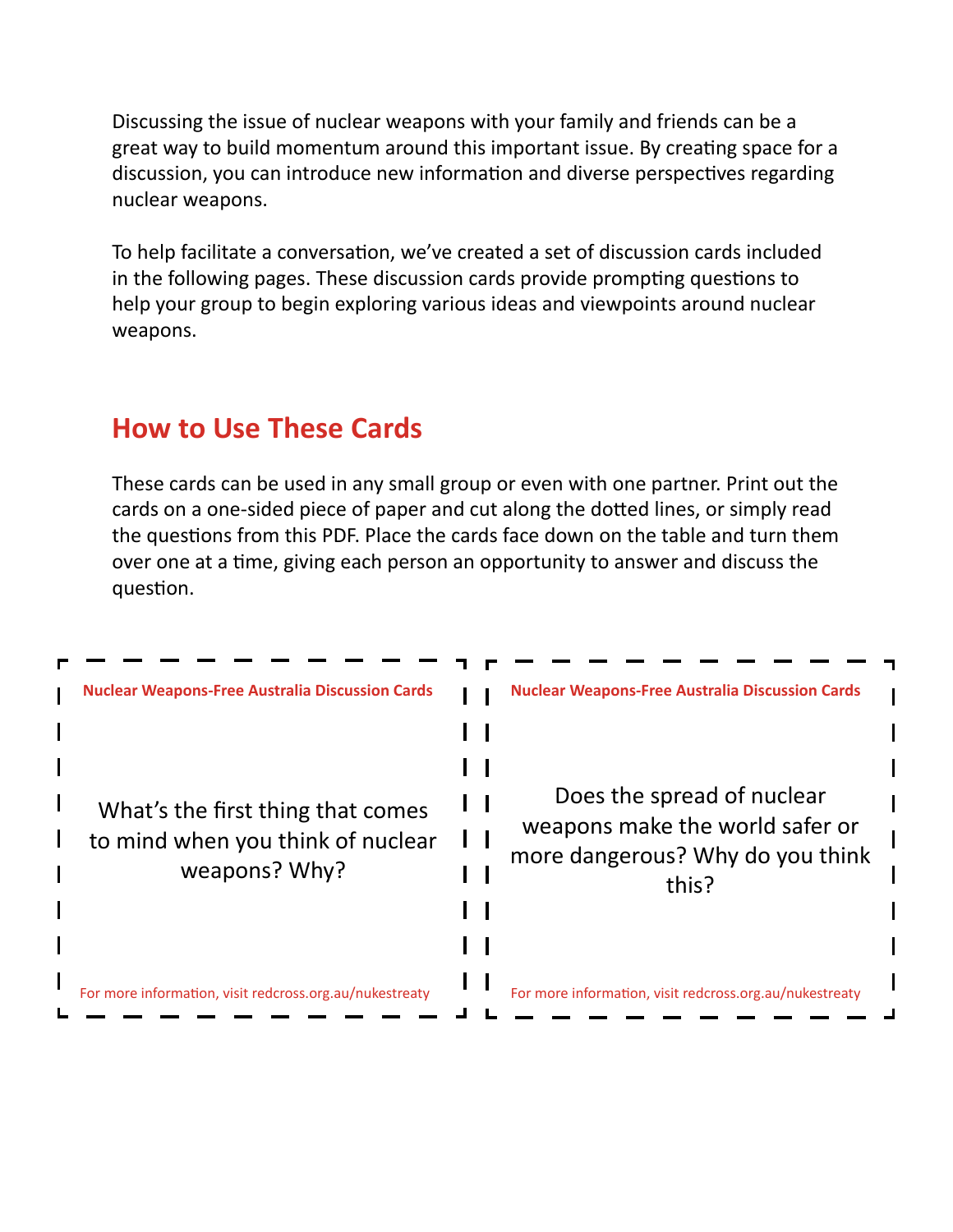Discussing the issue of nuclear weapons with your family and friends can be a great way to build momentum around this important issue. By creating space for a discussion, you can introduce new information and diverse perspectives regarding nuclear weapons.

To help facilitate a conversation, we've created a set of discussion cards included in the following pages. These discussion cards provide prompting questions to help your group to begin exploring various ideas and viewpoints around nuclear weapons.

## **How to Use These Cards**

These cards can be used in any small group or even with one partner. Print out the cards on a one-sided piece of paper and cut along the dotted lines, or simply read the questions from this PDF. Place the cards face down on the table and turn them over one at a time, giving each person an opportunity to answer and discuss the question.

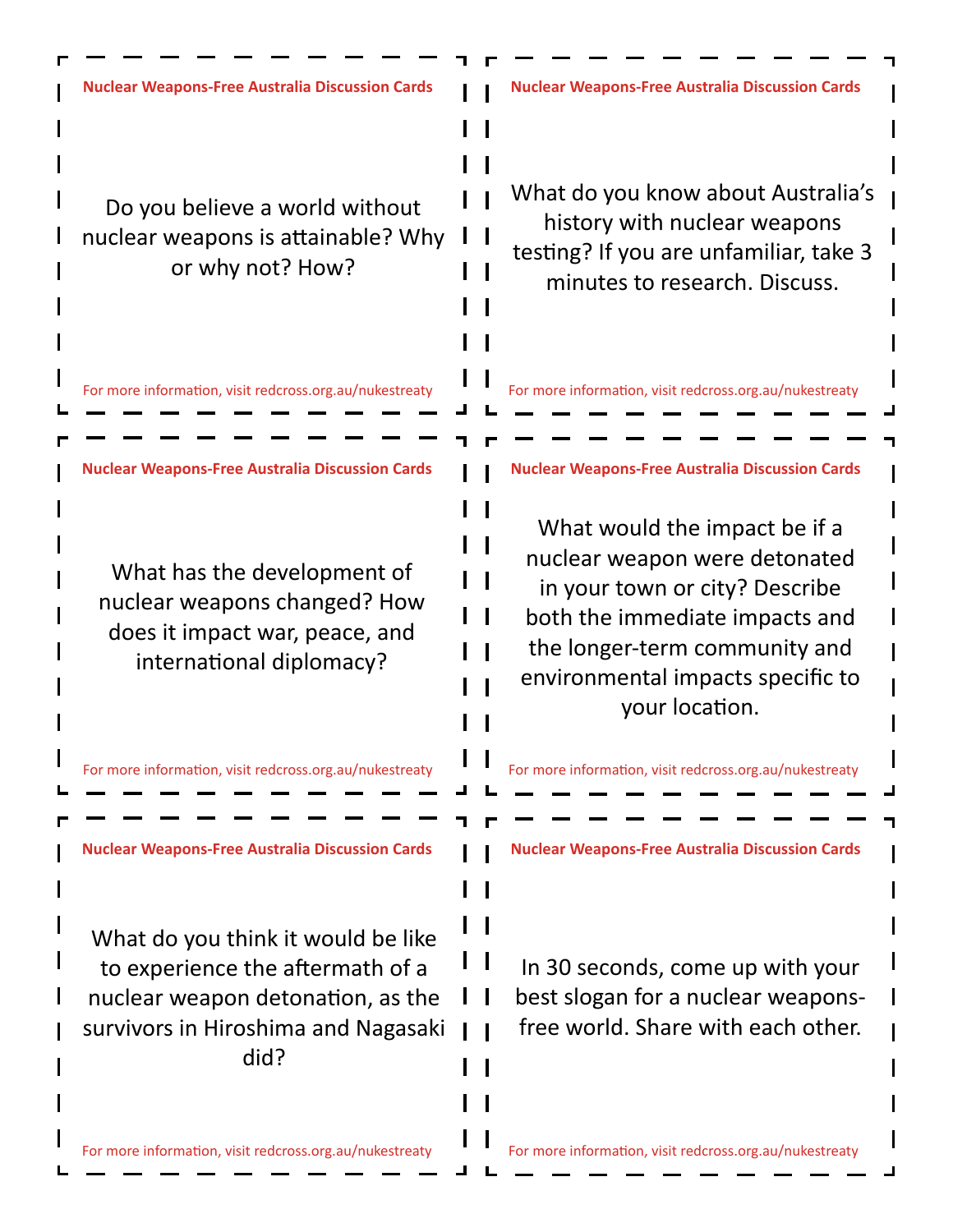**Nuclear Weapons-Free Australia Discussion Cards Nuclear Weapons-Free Australia Discussion Cards** What do you know about Australia's Do you believe a world without history with nuclear weapons nuclear weapons is attainable? Why testing? If you are unfamiliar, take 3 or why not? How? minutes to research. Discuss. For more information, visit redcross.org.au/nukestreaty For more information, visit redcross.org.au/nukestreaty **Nuclear Weapons-Free Australia Discussion Cards Nuclear Weapons-Free Australia Discussion Cards** a ka What would the impact be if a nuclear weapon were detonated What has the development of  $\blacksquare$ in your town or city? Describe nuclear weapons changed? How  $\mathcal{A}$ both the immediate impacts and does it impact war, peace, and the longer-term community and international diplomacy? environmental impacts specific to your location. For more information, visit redcross.org.au/nukestreaty For more information, visit redcross.org.au/nukestreaty **Nuclear Weapons-Free Australia Discussion Cards Nuclear Weapons-Free Australia Discussion Cards** What do you think it would be like  $\mathbf{I}$ In 30 seconds, come up with your to experience the aftermath of a nuclear weapon detonation, as the best slogan for a nuclear weaponssurvivors in Hiroshima and Nagasaki free world. Share with each other. did?